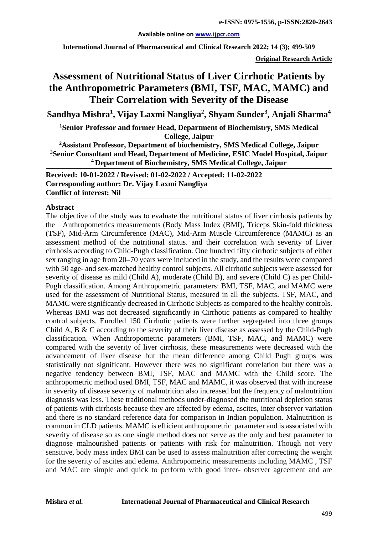#### **Available online on [www.ijpcr.com](http://www.ijpcr.com/)**

**International Journal of Pharmaceutical and Clinical Research 2022; 14 (3); 499-509**

**Original Research Article**

# **Assessment of Nutritional Status of Liver Cirrhotic Patients by the Anthropometric Parameters (BMI, TSF, MAC, MAMC) and Their Correlation with Severity of the Disease**

**Sandhya Mishra<sup>1</sup> , Vijay Laxmi Nangliya2 , Shyam Sunder<sup>3</sup> , Anjali Sharma<sup>4</sup>**

**1 Senior Professor and former Head, Department of Biochemistry, SMS Medical College, Jaipur**

**2Assistant Professor, Department of biochemistry, SMS Medical College, Jaipur 3 Senior Consultant and Head, Department of Medicine, ESIC Model Hospital, Jaipur 4 Department of Biochemistry, SMS Medical College, Jaipur**

**Received: 10-01-2022 / Revised: 01-02-2022 / Accepted: 11-02-2022 Corresponding author: Dr. Vijay Laxmi Nangliya Conflict of interest: Nil**

#### **Abstract**

The objective of the study was to evaluate the nutritional status of liver cirrhosis patients by the Anthropometrics measurements (Body Mass Index (BMI), Triceps Skin-fold thickness (TSF), Mid-Arm Circumference (MAC), Mid-Arm Muscle Circumference (MAMC) as an assessment method of the nutritional status. and their correlation with severity of Liver cirrhosis according to Child-Pugh classification. One hundred fifty cirrhotic subjects of either sex ranging in age from 20–70 years were included in the study, and the results were compared with 50 age- and sex-matched healthy control subjects. All cirrhotic subjects were assessed for severity of disease as mild (Child A), moderate (Child B), and severe (Child C) as per Child-Pugh classification. Among Anthropometric parameters: BMI, TSF, MAC, and MAMC were used for the assessment of Nutritional Status, measured in all the subjects. TSF, MAC, and MAMC were significantly decreased in Cirrhotic Subjects as compared to the healthy controls. Whereas BMI was not decreased significantly in Cirrhotic patients as compared to healthy control subjects. Enrolled 150 Cirrhotic patients were further segregated into three groups Child A, B & C according to the severity of their liver disease as assessed by the Child-Pugh classification. When Anthropometric parameters (BMI, TSF, MAC, and MAMC) were compared with the severity of liver cirrhosis, these measurements were decreased with the advancement of liver disease but the mean difference among Child Pugh groups was statistically not significant. However there was no significant correlation but there was a negative tendency between BMI, TSF, MAC and MAMC with the Child score. The anthropometric method used BMI, TSF, MAC and MAMC, it was observed that with increase in severity of disease severity of malnutrition also increased but the frequency of malnutrition diagnosis was less. These traditional methods under-diagnosed the nutritional depletion status of patients with cirrhosis because they are affected by edema, ascites, inter observer variation and there is no standard reference data for comparison in Indian population. Malnutrition is common in CLD patients. MAMC is efficient anthropometric parameter and is associated with severity of disease so as one single method does not serve as the only and best parameter to diagnose malnourished patients or patients with risk for malnutrition. Though not very sensitive, body mass index BMI can be used to assess malnutrition after correcting the weight for the severity of ascites and edema. Anthropometric measurements including MAMC , TSF and MAC are simple and quick to perform with good inter- observer agreement and are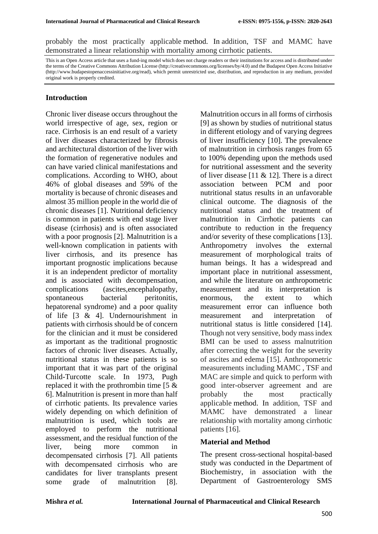probably the most practically applicable method. In addition, TSF and MAMC have demonstrated a linear relationship with mortality among cirrhotic patients.

This is an Open Access article that uses a fund-ing model which does not charge readers or their institutions for access and is distributed under the terms of the Creative Commons Attribution License (http://creativecommons.org/licenses/by/4.0) and the Budapest Open Access Initiative (http://www.budapestopenaccessinitiative.org/read), which permit unrestricted use, distribution, and reproduction in any medium, provided original work is properly credited.

#### **Introduction**

Chronic liver disease occurs throughout the world irrespective of age, sex, region or race. Cirrhosis is an end result of a variety of liver diseases characterized by fibrosis and architectural distortion of the liver with the formation of regenerative nodules and can have varied clinical manifestations and complications. According to WHO, about 46% of global diseases and 59% of the mortality is because of chronic diseases and almost 35 million people in the world die of chronic diseases [1]. Nutritional deficiency is common in patients with end stage liver disease (cirrhosis) and is often associated with a poor prognosis [2]. Malnutrition is a well-known complication in patients with liver cirrhosis, and its presence has important prognostic implications because it is an independent predictor of mortality and is associated with decompensation, complications (ascites,encephalopathy, spontaneous bacterial peritonitis, hepatorenal syndrome) and a poor quality of life [3 & 4]. Undernourishment in patients with cirrhosis should be of concern for the clinician and it must be considered as important as the traditional prognostic factors of chronic liver diseases. Actually, nutritional status in these patients is so important that it was part of the original Child-Turcotte scale. In 1973, Pugh replaced it with the prothrombin time [5 & 6]. Malnutrition is present in more than half of cirrhotic patients. Its prevalence varies widely depending on which definition of malnutrition is used, which tools are employed to perform the nutritional assessment, and the residual function of the liver, being more common in decompensated cirrhosis [7]. All patients with decompensated cirrhosis who are candidates for liver transplants present some grade of malnutrition [8].

Malnutrition occurs in all forms of cirrhosis [9] as shown by studies of nutritional status in different etiology and of varying degrees of liver insufficiency [10]. The prevalence of malnutrition in cirrhosis ranges from 65 to 100% depending upon the methods used for nutritional assessment and the severity of liver disease  $[11 \& 12]$ . There is a direct association between PCM and poor nutritional status results in an unfavorable clinical outcome. The diagnosis of the nutritional status and the treatment of malnutrition in Cirrhotic patients can contribute to reduction in the frequency and/or severity of these complications [13]. Anthropometry involves the external measurement of morphological traits of human beings. It has a widespread and important place in nutritional assessment, and while the literature on anthropometric measurement and its interpretation is enormous, the extent to which measurement error can influence both measurement and interpretation of nutritional status is little considered [14]. Though not very sensitive, body mass index BMI can be used to assess malnutrition after correcting the weight for the severity of ascites and edema [15]. Anthropometric measurements including MAMC , TSF and MAC are simple and quick to perform with good inter-observer agreement and are probably the most practically applicable method. In addition, TSF and MAMC have demonstrated a linear relationship with mortality among cirrhotic patients [16].

### **Material and Method**

The present cross-sectional hospital-based study was conducted in the Department of Biochemistry, in association with the Department of Gastroenterology SMS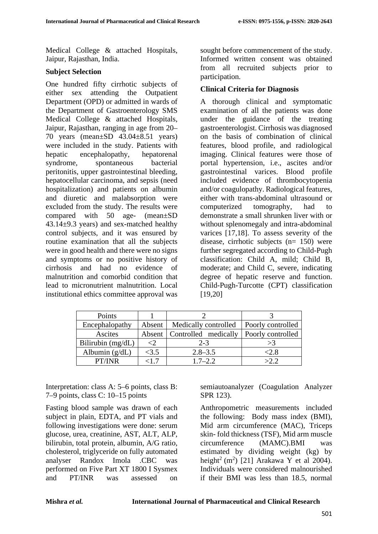Medical College & attached Hospitals, Jaipur, Rajasthan, India.

## **Subject Selection**

One hundred fifty cirrhotic subjects of either sex attending the Outpatient Department (OPD) or admitted in wards of the Department of Gastroenterology SMS Medical College & attached Hospitals, Jaipur, Rajasthan, ranging in age from 20– 70 years (mean±SD 43.04±8.51 years) were included in the study. Patients with hepatic encephalopathy, hepatorenal syndrome, spontaneous bacterial peritonitis, upper gastrointestinal bleeding, hepatocellular carcinoma, and sepsis (need hospitalization) and patients on albumin and diuretic and malabsorption were excluded from the study. The results were compared with 50 age- (mean±SD 43.14±9.3 years) and sex-matched healthy control subjects, and it was ensured by routine examination that all the subjects were in good health and there were no signs and symptoms or no positive history of cirrhosis and had no evidence of malnutrition and comorbid condition that lead to micronutrient malnutrition. Local institutional ethics committee approval was sought before commencement of the study. Informed written consent was obtained from all recruited subjects prior to participation.

## **Clinical Criteria for Diagnosis**

A thorough clinical and symptomatic examination of all the patients was done under the guidance of the treating gastroenterologist. Cirrhosis was diagnosed on the basis of combination of clinical features, blood profile, and radiological imaging. Clinical features were those of portal hypertension, i.e., ascites and/or gastrointestinal varices. Blood profile included evidence of thrombocytopenia and/or coagulopathy. Radiological features, either with trans-abdominal ultrasound or computerized tomography, had to demonstrate a small shrunken liver with or without splenomegaly and intra-abdominal varices [17,18]. To assess severity of the disease, cirrhotic subjects  $(n= 150)$  were further segregated according to Child-Pugh classification: Child A, mild; Child B, moderate; and Child C, severe, indicating degree of hepatic reserve and function. Child-Pugh-Turcotte (CPT) classification [19,20]

| Points              |        |                               |                   |
|---------------------|--------|-------------------------------|-------------------|
| Encephalopathy      | Absent | Medically controlled          | Poorly controlled |
| Ascites             |        | Absent   Controlled medically | Poorly controlled |
| Bilirubin $(mg/dL)$ |        | $2 - 3$                       | >3                |
| Albumin $(g/dL)$    | <3.5   | $2.8 - 3.5$                   | ≤2.8              |
| PT/INR              |        | $1.7 - 2.2$                   | $\sim$ ?          |

Interpretation: class A: 5–6 points, class B: 7–9 points, class C: 10–15 points

Fasting blood sample was drawn of each subject in plain, EDTA, and PT vials and following investigations were done: serum glucose, urea, creatinine, AST, ALT, ALP, bilirubin, total protein, albumin, A/G ratio, cholesterol, triglyceride on fully automated analyser Randox Imola .CBC was performed on Five Part XT 1800 I Sysmex and PT/INR was assessed on

semiautoanalyzer (Coagulation Analyzer SPR 123).

Anthropometric measurements included the following: Body mass index (BMI), Mid arm circumference (MAC), Triceps skin- fold thickness (TSF), Mid arm muscle circumference (MAMC).BMI was estimated by dividing weight (kg) by height<sup>2</sup> (m<sup>2</sup>) [21] Arakawa Y et al 2004). Individuals were considered malnourished if their BMI was less than 18.5, normal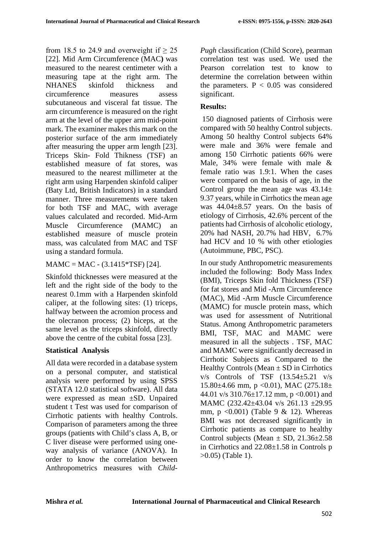from 18.5 to 24.9 and overweight if  $\geq$  25 [22]. Mid Arm Circumference (MAC**)** was measured to the nearest centimeter with a measuring tape at the right arm. The NHANES skinfold thickness and circumference measures assess subcutaneous and visceral fat tissue. The arm circumference is measured on the right arm at the level of the upper arm mid-point mark. The examiner makes this mark on the posterior surface of the arm immediately after measuring the upper arm length [23]. Triceps Skin- Fold Thikness (TSF) an established measure of fat stores, was measured to the nearest millimeter at the right arm using Harpenden skinfold caliper (Baty Ltd, British Indicators) in a standard manner. Three measurements were taken for both TSF and MAC, with average values calculated and recorded. Mid-Arm Muscle Circumference (MAMC) an established measure of muscle protein mass, was calculated from MAC and TSF using a standard formula.

## $MAMC = MAC - (3.1415*TSF)$  [24].

Skinfold thicknesses were measured at the left and the right side of the body to the nearest 0.1mm with a Harpenden skinfold caliper, at the following sites: (1) triceps, halfway between the acromion process and the olecranon process; (2) biceps, at the same level as the triceps skinfold, directly above the centre of the cubital fossa [23].

# **Statistical Analysis**

All data were recorded in a database system on a personal computer, and statistical analysis were performed by using SPSS (STATA 12.0 statistical software). All data were expressed as mean ±SD. Unpaired student t Test was used for comparison of Cirrhotic patients with healthy Controls. Comparison of parameters among the three groups (patients with Child's class A, B, or C liver disease were performed using oneway analysis of variance (ANOVA). In order to know the correlation between Anthropometrics measures with *Child-* *Pugh* classification (Child Score), pearman correlation test was used. We used the Pearson correlation test to know to determine the correlation between within the parameters.  $P < 0.05$  was considered significant.

# **Results:**

150 diagnosed patients of Cirrhosis were compared with 50 healthy Control subjects. Among 50 healthy Control subjects 64% were male and 36% were female and among 150 Cirrhotic patients 66% were Male, 34% were female with male & female ratio was 1.9:1. When the cases were compared on the basis of age, in the Control group the mean age was  $43.14 \pm$ 9.37 years, while in Cirrhotics the mean age was 44.04±8.57 years. On the basis of etiology of Cirrhosis, 42.6% percent of the patients had Cirrhosis of alcoholic etiology, 20% had NASH, 20.7% had HBV, 6.7% had HCV and 10 % with other etiologies (Autoimmune, PBC, PSC).

In our study Anthropometric measurements included the following: Body Mass Index (BMI), Triceps Skin fold Thickness (TSF) for fat stores and Mid -Arm Circumference (MAC), Mid -Arm Muscle Circumference (MAMC) for muscle protein mass, which was used for assessment of Nutritional Status. Among Anthropometric parameters BMI, TSF, MAC and MAMC were measured in all the subjects . TSF, MAC and MAMC were significantly decreased in Cirrhotic Subjects as Compared to the Healthy Controls (Mean  $\pm$  SD in Cirrhotics v/s Controls of TSF (13.54±5.21 v/s 15.80 $\pm$ 4.66 mm, p < 0.01), MAC (275.18 $\pm$ 44.01 v/s  $310.76 \pm 17.12$  mm, p <0.001) and MAMC (232.42±43.04 v/s 261.13 ±29.95 mm,  $p \leq 0.001$ ) (Table 9 & 12). Whereas BMI was not decreased significantly in Cirrhotic patients as compare to healthy Control subjects (Mean  $\pm$  SD, 21.36 $\pm$ 2.58 in Cirrhotics and 22.08±1.58 in Controls p >0.05) (Table 1).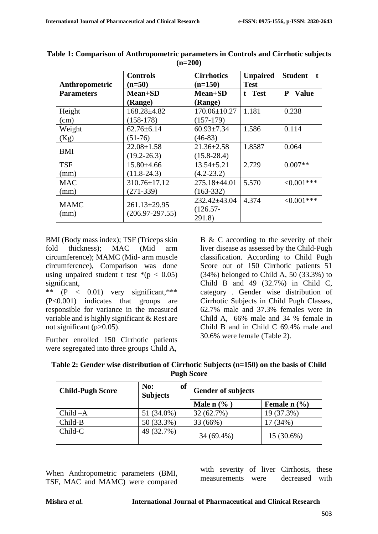| Anthropometric      | <b>Controls</b><br>$(n=50)$             | <b>Cirrhotics</b><br>$(n=150)$       | <b>Unpaired</b><br><b>Test</b> | <b>Student</b><br>t. |
|---------------------|-----------------------------------------|--------------------------------------|--------------------------------|----------------------|
| <b>Parameters</b>   | Mean+SD<br>(Range)                      | <b>Mean+SD</b><br>(Range)            | t Test                         | <b>Value</b><br>P    |
| Height<br>(cm)      | $168.28 \pm 4.82$<br>$(158-178)$        | 170.06±10.27<br>$(157-179)$          | 1.181                          | 0.238                |
| Weight<br>(Kg)      | $62.76 \pm 6.14$<br>$(51-76)$           | $60.93 \pm 7.34$<br>$(46-83)$        | 1.586                          | 0.114                |
| <b>BMI</b>          | $22.08 \pm 1.58$<br>$(19.2 - 26.3)$     | $21.36 \pm 2.58$<br>$(15.8 - 28.4)$  | 1.8587                         | 0.064                |
| <b>TSF</b><br>(mm)  | $15.80{\pm}4.66$<br>$(11.8-24.3)$       | $13.54 \pm 5.21$<br>$(4.2 - 23.2)$   | 2.729                          | $0.007**$            |
| <b>MAC</b><br>(mm)  | $310.76 \pm 17.12$<br>$(271-339)$       | 275.18±44.01<br>$(163-332)$          | 5.570                          | $< 0.001$ ***        |
| <b>MAMC</b><br>(mm) | $261.13 \pm 29.95$<br>$(206.97-297.55)$ | 232.42±43.04<br>$(126.57 -$<br>291.8 | 4.374                          | $<0.001***$          |

**Table 1: Comparison of Anthropometric parameters in Controls and Cirrhotic subjects (n=200)**

BMI (Body mass index); TSF (Triceps skin fold thickness); MAC (Mid arm circumference); MAMC (Mid- arm muscle circumference), Comparison was done using unpaired student t test  $*(p < 0.05)$ significant,

\*\* (P < 0.01) very significant,\*\*\* (P<0.001) indicates that groups are responsible for variance in the measured variable and is highly significant & Rest are not significant  $(p>0.05)$ .

Further enrolled 150 Cirrhotic patients were segregated into three groups Child A,

B & C according to the severity of their liver disease as assessed by the Child-Pugh classification. According to Child Pugh Score out of 150 Cirrhotic patients 51 (34%) belonged to Child A, 50 (33.3%) to Child B and 49 (32.7%) in Child C, category . Gender wise distribution of Cirrhotic Subjects in Child Pugh Classes, 62.7% male and 37.3% females were in Child A, 66% male and 34 % female in Child B and in Child C 69.4% male and 30.6% were female (Table 2).

| Table 2: Gender wise distribution of Cirrhotic Subjects (n=150) on the basis of Child |
|---------------------------------------------------------------------------------------|
| <b>Pugh Score</b>                                                                     |

| <b>Child-Pugh Score</b> | of<br>No:<br><b>Subjects</b> | <b>Gender of subjects</b> |                            |
|-------------------------|------------------------------|---------------------------|----------------------------|
|                         |                              | Male $n$ $\%$ )           | Female $n$ $(\frac{9}{6})$ |
| $Child -A$              | 51 (34.0%)                   | 32 (62.7%)                | 19 (37.3%)                 |
| Child-B                 | 50 (33.3%)                   | 33 (66%)                  | (34%)                      |
| Child-C                 | 49 (32.7%)                   | 34 (69.4%)                | 15 (30.6%)                 |

When Anthropometric parameters (BMI, TSF, MAC and MAMC) were compared with severity of liver Cirrhosis, these measurements were decreased with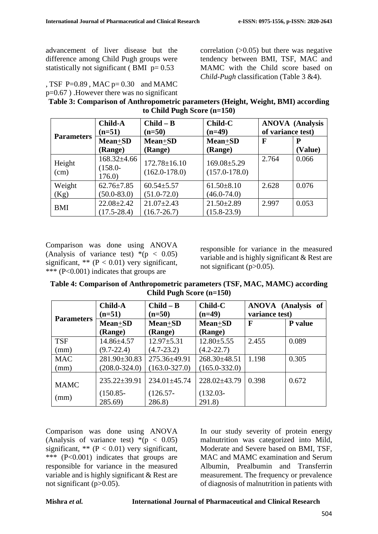advancement of liver disease but the difference among Child Pugh groups were statistically not significant ( $BMI$  p= 0.53

, TSF P= $0.89$ , MAC p= $0.30$  and MAMC p=0.67 ) .However there was no significant correlation  $(0.05)$  but there was negative tendency between BMI, TSF, MAC and MAMC with the Child score based on *Child-Pugh* classification (Table 3 &4).

| Table 3: Comparison of Anthropometric parameters (Height, Weight, BMI) according |  |
|----------------------------------------------------------------------------------|--|
| to Child Pugh Score $(n=150)$                                                    |  |

|                   | <b>Child-A</b>                           | $Child - B$                             | <b>Child-C</b>                         |                   | <b>ANOVA</b> (Analysis |
|-------------------|------------------------------------------|-----------------------------------------|----------------------------------------|-------------------|------------------------|
| <b>Parameters</b> | $(n=51)$                                 | $(n=50)$                                | $(n=49)$                               | of variance test) |                        |
|                   | <b>Mean+SD</b>                           | Mean+SD                                 | <b>Mean+SD</b>                         | $\mathbf{F}$      | P                      |
|                   | (Range)                                  | (Range)                                 | (Range)                                |                   | (Value)                |
| Height<br>(cm)    | $168.32{\pm}4.66$<br>$(158.0 -$<br>176.0 | $172.78 \pm 16.10$<br>$(162.0 - 178.0)$ | $169.08 \pm 5.29$<br>$(157.0 - 178.0)$ | 2.764             | 0.066                  |
| Weight<br>(Kg)    | $62.76 \pm 7.85$<br>$(50.0 - 83.0)$      | $60.54 \pm 5.57$<br>$(51.0 - 72.0)$     | $61.50 \pm 8.10$<br>$(46.0 - 74.0)$    | 2.628             | 0.076                  |
| <b>BMI</b>        | $22.08 \pm 2.42$<br>$(17.5 - 28.4)$      | $21.07 \pm 2.43$<br>$(16.7 - 26.7)$     | $21.50 \pm 2.89$<br>$(15.8 - 23.9)$    | 2.997             | 0.053                  |

Comparison was done using ANOVA (Analysis of variance test)  $*(p < 0.05)$ significant, \*\*  $(P < 0.01)$  very significant, \*\*\* (P<0.001) indicates that groups are

responsible for variance in the measured variable and is highly significant & Rest are not significant (p>0.05).

**Table 4: Comparison of Anthropometric parameters (TSF, MAC, MAMC) according Child Pugh Score (n=150)**

|                   | <b>Child-A</b><br>$(n=51)$ | $Child - B$<br>$(n=50)$ | <b>Child-C</b><br>$(n=49)$ | ANOVA (Analysis of<br>variance test) |         |
|-------------------|----------------------------|-------------------------|----------------------------|--------------------------------------|---------|
| <b>Parameters</b> | Mean+SD                    | <b>Mean+SD</b>          | <b>Mean+SD</b>             | $\mathbf F$                          | P value |
|                   | (Range)                    | (Range)                 | (Range)                    |                                      |         |
| <b>TSF</b>        | $14.86{\pm}4.57$           | $12.97 \pm 5.31$        | $12.80 \pm 5.55$           | 2.455                                | 0.089   |
| (mm)              | $(9.7 - 22.4)$             | $(4.7 - 23.2)$          | $(4.2 - 22.7)$             |                                      |         |
| <b>MAC</b>        | 281.90±30.83               | 275.36±49.91            | 268.30±48.51               | 1.198                                | 0.305   |
| (mm)              | $(208.0 - 324.0)$          | $(163.0 - 327.0)$       | $(165.0 - 332.0)$          |                                      |         |
| <b>MAMC</b>       | 235.22±39.91               | $234.01 \pm 45.74$      | $228.02\pm43.79$           | 0.398                                | 0.672   |
|                   | $(150.85 -$                | $(126.57 -$             | $(132.03 -$                |                                      |         |
| (mm)              | 285.69)                    | 286.8)                  | 291.8)                     |                                      |         |

Comparison was done using ANOVA (Analysis of variance test)  $*(p < 0.05)$ significant,  $** (P < 0.01)$  very significant, \*\*\* (P<0.001) indicates that groups are responsible for variance in the measured variable and is highly significant & Rest are not significant (p>0.05).

In our study severity of protein energy malnutrition was categorized into Mild, Moderate and Severe based on BMI, TSF, MAC and MAMC examination and Serum Albumin, Prealbumin and Transferrin measurement. The frequency or prevalence of diagnosis of malnutrition in patients with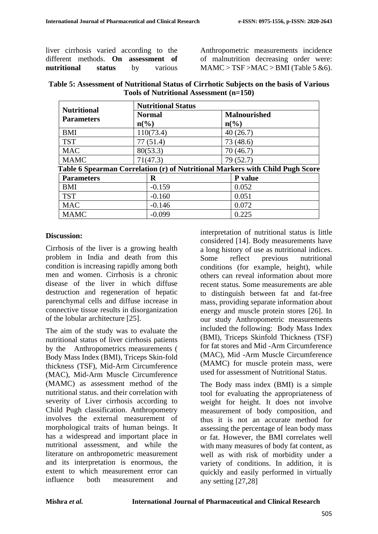liver cirrhosis varied according to the different methods. **On assessment of nutritional status** by various

Anthropometric measurements incidence of malnutrition decreasing order were:  $MAMC > TSF > MAC > BMI$  (Table 5 &6).

| Table 5: Assessment of Nutritional Status of Cirrhotic Subjects on the basis of Various |  |
|-----------------------------------------------------------------------------------------|--|
| Tools of Nutritional Assessment (n=150)                                                 |  |

| <b>Nutritional</b> | <b>Nutritional Status</b>   |                                                                               |  |
|--------------------|-----------------------------|-------------------------------------------------------------------------------|--|
| <b>Parameters</b>  | <b>Normal</b>               | <b>Malnourished</b>                                                           |  |
|                    | $n\left(\frac{6}{6}\right)$ | $n\binom{0}{0}$                                                               |  |
| <b>BMI</b>         | 110(73.4)                   | 40(26.7)                                                                      |  |
| <b>TST</b>         | 77(51.4)                    | 73 (48.6)                                                                     |  |
| <b>MAC</b>         | 80(53.3)                    | 70 (46.7)                                                                     |  |
| <b>MAMC</b>        | 71(47.3)                    | 79 (52.7)                                                                     |  |
|                    |                             | Table 6 Spearman Correlation (r) of Nutritional Markers with Child Pugh Score |  |
| <b>Parameters</b>  | R                           | P value                                                                       |  |
| <b>BMI</b>         | $-0.159$                    | 0.052                                                                         |  |
| <b>TST</b>         | $-0.160$                    | 0.051                                                                         |  |
| <b>MAC</b>         | $-0.146$                    | 0.072                                                                         |  |
| <b>MAMC</b>        | $-0.099$                    | 0.225                                                                         |  |

### **Discussion:**

Cirrhosis of the liver is a growing health problem in India and death from this condition is increasing rapidly among both men and women. Cirrhosis is a chronic disease of the liver in which diffuse destruction and regeneration of hepatic parenchymal cells and diffuse increase in connective tissue results in disorganization of the lobular architecture [25].

The aim of the study was to evaluate the nutritional status of liver cirrhosis patients by the Anthropometrics measurements ( Body Mass Index (BMI), Triceps Skin-fold thickness (TSF), Mid-Arm Circumference (MAC), Mid-Arm Muscle Circumference (MAMC) as assessment method of the nutritional status. and their correlation with severity of Liver cirrhosis according to Child Pugh classification. Anthropometry involves the external measurement of morphological traits of human beings. It has a widespread and important place in nutritional assessment, and while the literature on anthropometric measurement and its interpretation is enormous, the extent to which measurement error can influence both measurement and

interpretation of nutritional status is little considered [14]. Body measurements have a long history of use as nutritional indices. Some reflect previous nutritional conditions (for example, height), while others can reveal information about more recent status. Some measurements are able to distinguish between fat and fat-free mass, providing separate information about energy and muscle protein stores [26]. In our study Anthropometric measurements included the following: Body Mass Index (BMI), Triceps Skinfold Thickness (TSF) for fat stores and Mid -Arm Circumference (MAC), Mid -Arm Muscle Circumference (MAMC) for muscle protein mass, were used for assessment of Nutritional Status.

The Body mass index (BMI) is a simple tool for evaluating the appropriateness of weight for height. It does not involve measurement of body composition, and thus it is not an accurate method for assessing the percentage of lean body mass or fat. However, the BMI correlates well with many measures of body fat content, as well as with risk of morbidity under a variety of conditions. In addition, it is quickly and easily performed in virtually any setting [27,28]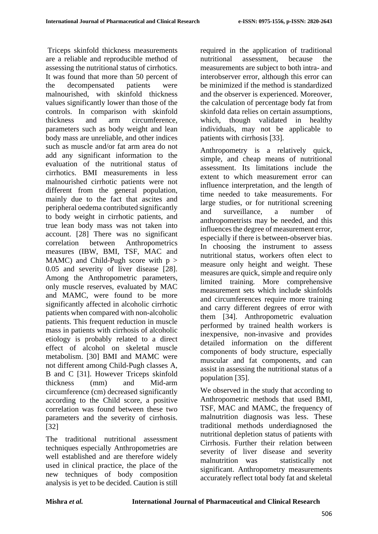Triceps skinfold thickness measurements are a reliable and reproducible method of assessing the nutritional status of cirrhotics. It was found that more than 50 percent of the decompensated patients were malnourished, with skinfold thickness values significantly lower than those of the controls. In comparison with skinfold thickness and arm circumference, parameters such as body weight and lean body mass are unreliable, and other indices such as muscle and/or fat arm area do not add any significant information to the evaluation of the nutritional status of cirrhotics. BMI measurements in less malnourished cirrhotic patients were not different from the general population, mainly due to the fact that ascites and peripheral oedema contributed significantly to body weight in cirrhotic patients, and true lean body mass was not taken into account. [28] There was no significant correlation between Anthropometrics measures (IBW, BMI, TSF, MAC and MAMC) and Child-Pugh score with  $p >$ 0.05 and severity of liver disease [28]. Among the Anthropometric parameters, only muscle reserves, evaluated by MAC and MAMC, were found to be more significantly affected in alcoholic cirrhotic patients when compared with non-alcoholic patients. This frequent reduction in muscle mass in patients with cirrhosis of alcoholic etiology is probably related to a direct effect of alcohol on skeletal muscle metabolism. [30] BMI and MAMC were not different among Child-Pugh classes A, B and C [31]. However Triceps skinfold thickness (mm) and Mid-arm circumference (cm) decreased significantly according to the Child score, a positive correlation was found between these two parameters and the severity of cirrhosis. [32]

The traditional nutritional assessment techniques especially Anthropometries are well established and are therefore widely used in clinical practice, the place of the new techniques of body composition analysis is yet to be decided. Caution is still

required in the application of traditional nutritional assessment, because the measurements are subject to both intra- and interobserver error, although this error can be minimized if the method is standardized and the observer is experienced. Moreover, the calculation of percentage body fat from skinfold data relies on certain assumptions, which, though validated in healthy individuals, may not be applicable to patients with cirrhosis [33].

Anthropometry is a relatively quick, simple, and cheap means of nutritional assessment. Its limitations include the extent to which measurement error can influence interpretation, and the length of time needed to take measurements. For large studies, or for nutritional screening and surveillance, a number of anthropometrists may be needed, and this influences the degree of measurement error, especially if there is between-observer bias. In choosing the instrument to assess nutritional status, workers often elect to measure only height and weight. These measures are quick, simple and require only limited training. More comprehensive measurement sets which include skinfolds and circumferences require more training and carry different degrees of error with them [34]. Anthropometric evaluation performed by trained health workers is inexpensive, non-invasive and provides detailed information on the different components of body structure, especially muscular and fat components, and can assist in assessing the nutritional status of a population [35].

We observed in the study that according to Anthropometric methods that used BMI, TSF, MAC and MAMC, the frequency of malnutrition diagnosis was less. These traditional methods underdiagnosed the nutritional depletion status of patients with Cirrhosis. Further their relation between severity of liver disease and severity malnutrition was statistically not significant. Anthropometry measurements accurately reflect total body fat and skeletal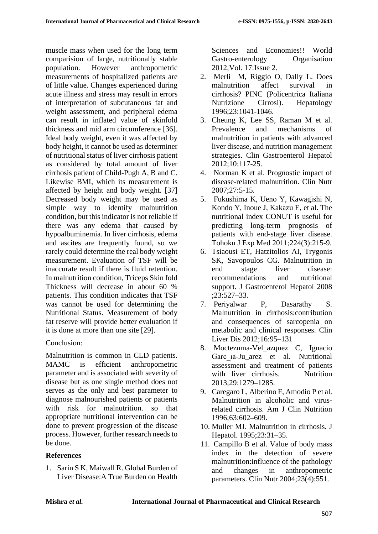muscle mass when used for the long term comparision of large, nutritionally stable population. However anthropometric measurements of hospitalized patients are of little value. Changes experienced during acute illness and stress may result in errors of interpretation of subcutaneous fat and weight assessment, and peripheral edema can result in inflated value of skinfold thickness and mid arm circumference [36]. Ideal body weight, even it was affected by body height, it cannot be used as determiner of nutritional status of liver cirrhosis patient as considered by total amount of liver cirrhosis patient of Child-Pugh A, B and C. Likewise BMI, which its measurement is affected by height and body weight. [37] Decreased body weight may be used as simple way to identify malnutrition condition, but this indicator is not reliable if there was any edema that caused by hypoalbuminemia. In liver cirrhosis, edema and ascites are frequently found, so we rarely could determine the real body weight measurement. Evaluation of TSF will be inaccurate result if there is fluid retention. In malnutrition condition, Triceps Skin fold Thickness will decrease in about 60 % patients. This condition indicates that TSF was cannot be used for determining the Nutritional Status. Measurement of body fat reserve will provide better evaluation if it is done at more than one site [29].

## Conclusion:

Malnutrition is common in CLD patients. MAMC is efficient anthropometric parameter and is associated with severity of disease but as one single method does not serves as the only and best parameter to diagnose malnourished patients or patients with risk for malnutrition, so that appropriate nutritional intervention can be done to prevent progression of the disease process. However, further research needs to be done.

# **References**

1. Sarin S K, Maiwall R. Global Burden of Liver Disease:A True Burden on Health Sciences and Economies!! World Gastro-enterology Organisation 2012;Vol. 17:Issue 2.

- 2. Merli M, Riggio O, Dally L. Does malnutrition affect survival in cirrhosis? PINC (Policentrica Italiana Nutrizione Cirrosi). Hepatology 1996;23:1041-1046.
- 3. Cheung K, Lee SS, Raman M et al. Prevalence and mechanisms of malnutrition in patients with advanced liver disease, and nutrition management strategies. Clin Gastroenterol Hepatol 2012;10:117-25.
- 4. Norman K et al. Prognostic impact of disease-related malnutrition. Clin Nutr 2007;27:5-15.
- 5. Fukushima K, Ueno Y, Kawagishi N, Kondo Y, Inoue J, Kakazu E, et al. The nutritional index CONUT is useful for predicting long-term prognosis of patients with end-stage liver disease. Tohoku J Exp Med 2011;224(3):215-9.
- 6. Tsiaousi ET, Hatzitolios AI, Trygonis SK, Savopoulos CG. Malnutrition in end stage liver disease: recommendations and nutritional support. J Gastroenterol Hepatol 2008 ;23:527–33.
- 7. Periyalwar P, Dasarathy S. Malnutrition in cirrhosis:contribution and consequences of sarcopenia on metabolic and clinical responses. Clin Liver Dis 2012;16:95–131
- 8. Moctezuma-Vel\_azquez C, Ignacio Garc 1a-Ju\_arez et al. Nutritional assessment and treatment of patients with liver cirrhosis. Nutrition 2013;29:1279–1285.
- 9. Caregaro L, Alberino F, Amodio P et al. Malnutrition in alcoholic and virusrelated cirrhosis. Am J Clin Nutrition 1996;63:602–609.
- 10. Muller MJ. Malnutrition in cirrhosis. J Hepatol. 1995;23:31–35.
- 11. Campillo B et al. Value of body mass index in the detection of severe malnutrition:influence of the pathology and changes in anthropometric parameters. Clin Nutr 2004;23(4):551.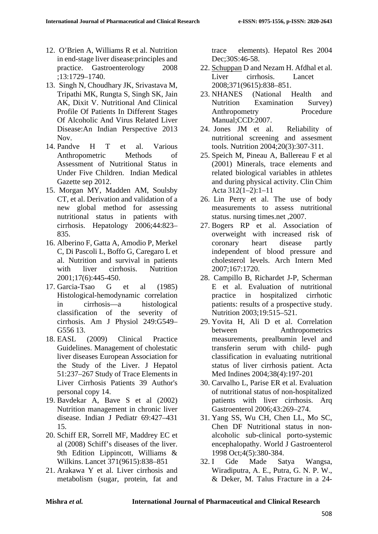- 12. O'Brien A, Williams R et al. Nutrition in end-stage liver disease:principles and practice. Gastroenterology 2008 ;13:1729–1740.
- 13. Singh N, Choudhary JK, Srivastava M, Tripathi MK, Rungta S, Singh SK, Jain AK, Dixit V. Nutritional And Clinical Profile Of Patients In Different Stages Of Alcoholic And Virus Related Liver Disease:An Indian Perspective 2013 Nov.
- 14. Pandve H T et al. Various Anthropometric Methods of Assessment of Nutritional Status in Under Five Children. Indian Medical Gazette sep 2012.
- 15. Morgan MY, Madden AM, Soulsby CT, et al. Derivation and validation of a new global method for assessing nutritional status in patients with cirrhosis. Hepatology 2006;44:823– 835.
- 16. Alberino F, Gatta A, Amodio P, Merkel C, Di Pascoli L, Boffo G, Caregaro L et al. Nutrition and survival in patients with liver cirrhosis. Nutrition 2001;17(6):445-450.
- 17. Garcia-Tsao G et al (1985) Histological-hemodynamic correlation in cirrhosis—a histological classification of the severity of cirrhosis. Am J Physiol 249:G549– G556 13.
- 18. EASL (2009) Clinical Practice Guidelines. Management of cholestatic liver diseases European Association for the Study of the Liver. J Hepatol 51:237–267 Study of Trace Elements in Liver Cirrhosis Patients 39 Author's personal copy 14.
- 19. Bavdekar A, Bave S et al (2002) Nutrition management in chronic liver disease. Indian J Pediatr 69:427–431 15.
- 20. Schiff ER, Sorrell MF, Maddrey EC et al (2008) Schiff's diseases of the liver. 9th Edition Lippincott, Williams & Wilkins. Lancet 371(9615):838–851
- 21. Arakawa Y et al. Liver cirrhosis and metabolism (sugar, protein, fat and

trace elements). Hepatol Res 2004 Dec;30S:46-58.

- 22. [Schuppan](http://www.ncbi.nlm.nih.gov/pubmed/?term=Schuppan%20D%5Bauth%5D) D and [Nezam H. Afdhal](http://www.ncbi.nlm.nih.gov/pubmed/?term=Afdhal%20NH%5Bauth%5D) et al[.](http://www.ncbi.nlm.nih.gov/entrez/eutils/elink.fcgi?dbfrom=pubmed&retmode=ref&cmd=prlinks&id=18328931) Liver cirrhosis. [Lancet](http://www.ncbi.nlm.nih.gov/entrez/eutils/elink.fcgi?dbfrom=pubmed&retmode=ref&cmd=prlinks&id=18328931)  [2008;371\(9615\):838–851.](http://www.ncbi.nlm.nih.gov/entrez/eutils/elink.fcgi?dbfrom=pubmed&retmode=ref&cmd=prlinks&id=18328931)
- 23. NHANES (National Health and Nutrition Examination Survey) Anthropometry Procedure Manual;CCD:2007.
- 24. Jones JM et al. Reliability of nutritional screening and assesment tools. Nutrition 2004;20(3):307-311.
- 25. Speich M, Pineau A, Ballereau F et al (2001) Minerals, trace elements and related biological variables in athletes and during physical activity. Clin Chim Acta 312(1–2):1–11
- 26. Lin Perry et al. The use of body measurements to assess nutritional status. nursing times.net ,2007.
- 27. Bogers RP et al. Association of overweight with increased risk of coronary heart disease partly independent of blood pressure and cholesterol levels. Arch Intern Med 2007;167:1720.
- 28. Campillo B, Richardet J-P, Scherman E et al. Evaluation of nutritional practice in hospitalized cirrhotic patients: results of a prospective study. Nutrition 2003;19:515–521.
- 29. Yovita H, Ali D et al. Correlation between Anthropometrics measurements, prealbumin level and transferin serum with child- pugh classification in evaluating nutritional status of liver cirrhosis patient. Acta Med Indines 2004;38(4):197-201
- 30. Carvalho L, Parise ER et al. Evaluation of nutritional status of non-hospitalized patients with liver cirrhosis. Arq Gastroenterol 2006;43:269–274.
- 31. [Yang SS,](http://www.ncbi.nlm.nih.gov/pubmed?term=Yang%20SS%5BAuthor%5D&cauthor=true&cauthor_uid=11819326) [Wu CH,](http://www.ncbi.nlm.nih.gov/pubmed?term=Wu%20CH%5BAuthor%5D&cauthor=true&cauthor_uid=11819326) [Chen LL,](http://www.ncbi.nlm.nih.gov/pubmed?term=Chen%20LL%5BAuthor%5D&cauthor=true&cauthor_uid=11819326) [Mo SC,](http://www.ncbi.nlm.nih.gov/pubmed?term=Mo%20SC%5BAuthor%5D&cauthor=true&cauthor_uid=11819326) [Chen DF](http://www.ncbi.nlm.nih.gov/pubmed?term=Chen%20DF%5BAuthor%5D&cauthor=true&cauthor_uid=11819326) Nutritional status in nonalcoholic sub-clinical porto-systemic encephalopathy. [World J Gastroenterol](http://www.ncbi.nlm.nih.gov/pubmed/11819326) 1998 Oct;4(5):380-384.
- 32. I Gde Made Satya Wangsa, Wiradiputra, A. E., Putra, G. N. P. W., & Deker, M. Talus Fracture in a 24-